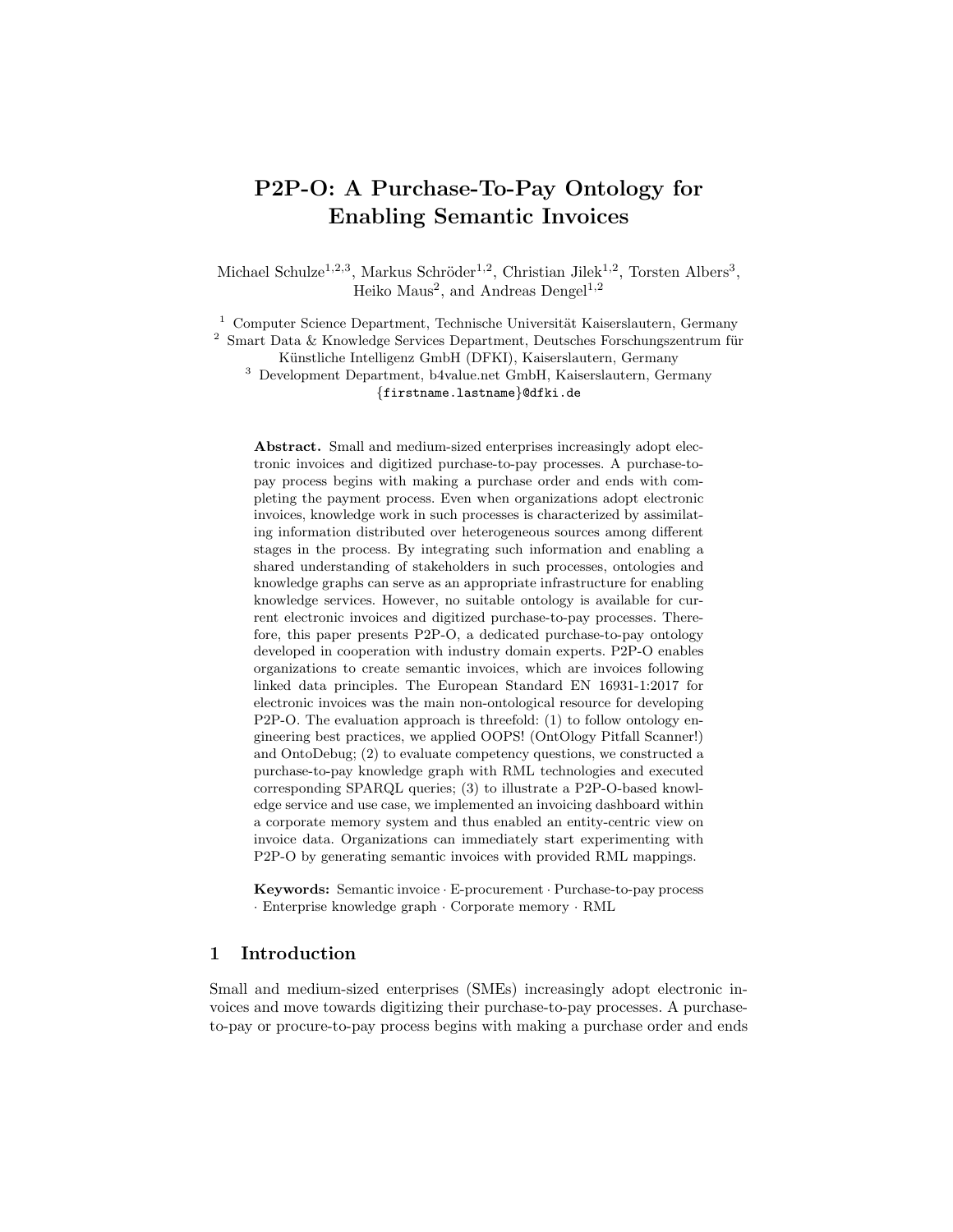# P2P-O: A Purchase-To-Pay Ontology for Enabling Semantic Invoices

Michael Schulze<sup>1,2,3</sup>, Markus Schröder<sup>1,2</sup>, Christian Jilek<sup>1,2</sup>, Torsten Albers<sup>3</sup>, Heiko Maus<sup>2</sup>, and Andreas Dengel<sup>1,2</sup>

 $1$  Computer Science Department, Technische Universität Kaiserslautern, Germany

 $^2$ Smart Data & Knowledge Services Department, Deutsches Forschungszentrum für

Künstliche Intelligenz GmbH (DFKI), Kaiserslautern, Germany

<sup>3</sup> Development Department, b4value.net GmbH, Kaiserslautern, Germany {firstname.lastname}@dfki.de

Abstract. Small and medium-sized enterprises increasingly adopt electronic invoices and digitized purchase-to-pay processes. A purchase-topay process begins with making a purchase order and ends with completing the payment process. Even when organizations adopt electronic invoices, knowledge work in such processes is characterized by assimilating information distributed over heterogeneous sources among different stages in the process. By integrating such information and enabling a shared understanding of stakeholders in such processes, ontologies and knowledge graphs can serve as an appropriate infrastructure for enabling knowledge services. However, no suitable ontology is available for current electronic invoices and digitized purchase-to-pay processes. Therefore, this paper presents P2P-O, a dedicated purchase-to-pay ontology developed in cooperation with industry domain experts. P2P-O enables organizations to create semantic invoices, which are invoices following linked data principles. The European Standard EN 16931-1:2017 for electronic invoices was the main non-ontological resource for developing P2P-O. The evaluation approach is threefold: (1) to follow ontology engineering best practices, we applied OOPS! (OntOlogy Pitfall Scanner!) and OntoDebug; (2) to evaluate competency questions, we constructed a purchase-to-pay knowledge graph with RML technologies and executed corresponding SPARQL queries; (3) to illustrate a P2P-O-based knowledge service and use case, we implemented an invoicing dashboard within a corporate memory system and thus enabled an entity-centric view on invoice data. Organizations can immediately start experimenting with P2P-O by generating semantic invoices with provided RML mappings.

Keywords: Semantic invoice · E-procurement · Purchase-to-pay process · Enterprise knowledge graph · Corporate memory · RML

## 1 Introduction

Small and medium-sized enterprises (SMEs) increasingly adopt electronic invoices and move towards digitizing their purchase-to-pay processes. A purchaseto-pay or procure-to-pay process begins with making a purchase order and ends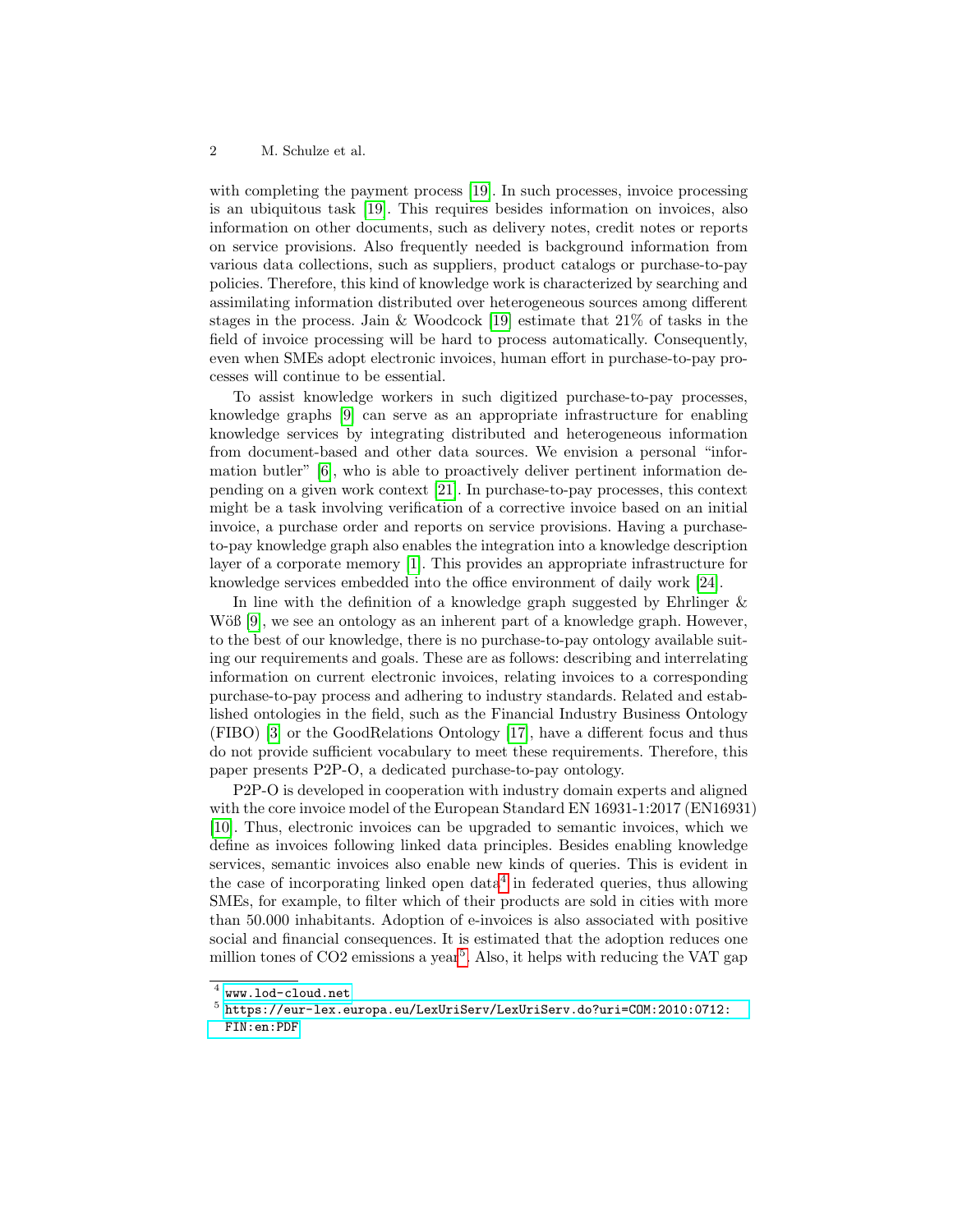with completing the payment process [\[19\]](#page-14-0). In such processes, invoice processing is an ubiquitous task [\[19\]](#page-14-0). This requires besides information on invoices, also information on other documents, such as delivery notes, credit notes or reports on service provisions. Also frequently needed is background information from various data collections, such as suppliers, product catalogs or purchase-to-pay policies. Therefore, this kind of knowledge work is characterized by searching and assimilating information distributed over heterogeneous sources among different stages in the process. Jain & Woodcock [\[19\]](#page-14-0) estimate that 21% of tasks in the field of invoice processing will be hard to process automatically. Consequently, even when SMEs adopt electronic invoices, human effort in purchase-to-pay processes will continue to be essential.

To assist knowledge workers in such digitized purchase-to-pay processes, knowledge graphs [\[9\]](#page-14-1) can serve as an appropriate infrastructure for enabling knowledge services by integrating distributed and heterogeneous information from document-based and other data sources. We envision a personal "information butler" [\[6\]](#page-13-0), who is able to proactively deliver pertinent information depending on a given work context [\[21\]](#page-14-2). In purchase-to-pay processes, this context might be a task involving verification of a corrective invoice based on an initial invoice, a purchase order and reports on service provisions. Having a purchaseto-pay knowledge graph also enables the integration into a knowledge description layer of a corporate memory [\[1\]](#page-13-1). This provides an appropriate infrastructure for knowledge services embedded into the office environment of daily work [\[24\]](#page-14-3).

In line with the definition of a knowledge graph suggested by Ehrlinger  $\&$ Wöß [\[9\]](#page-14-1), we see an ontology as an inherent part of a knowledge graph. However, to the best of our knowledge, there is no purchase-to-pay ontology available suiting our requirements and goals. These are as follows: describing and interrelating information on current electronic invoices, relating invoices to a corresponding purchase-to-pay process and adhering to industry standards. Related and established ontologies in the field, such as the Financial Industry Business Ontology (FIBO) [\[3\]](#page-13-2) or the GoodRelations Ontology [\[17\]](#page-14-4), have a different focus and thus do not provide sufficient vocabulary to meet these requirements. Therefore, this paper presents P2P-O, a dedicated purchase-to-pay ontology.

P2P-O is developed in cooperation with industry domain experts and aligned with the core invoice model of the European Standard EN 16931-1:2017 (EN16931) [\[10\]](#page-14-5). Thus, electronic invoices can be upgraded to semantic invoices, which we define as invoices following linked data principles. Besides enabling knowledge services, semantic invoices also enable new kinds of queries. This is evident in the case of incorporating linked open  $data<sup>4</sup>$  $data<sup>4</sup>$  $data<sup>4</sup>$  in federated queries, thus allowing SMEs, for example, to filter which of their products are sold in cities with more than 50.000 inhabitants. Adoption of e-invoices is also associated with positive social and financial consequences. It is estimated that the adoption reduces one million tones of CO2 emissions a year<sup>[5](#page-1-1)</sup>. Also, it helps with reducing the VAT gap

<span id="page-1-0"></span> $^4$  <www.lod-cloud.net>

<span id="page-1-1"></span> $^5$  [https://eur-lex.europa.eu/LexUriServ/LexUriServ.do?uri=COM:2010:0712:](https://eur-lex.europa.eu/LexUriServ/LexUriServ.do?uri=COM:2010:0712:FIN:en:PDF) [FIN:en:PDF](https://eur-lex.europa.eu/LexUriServ/LexUriServ.do?uri=COM:2010:0712:FIN:en:PDF)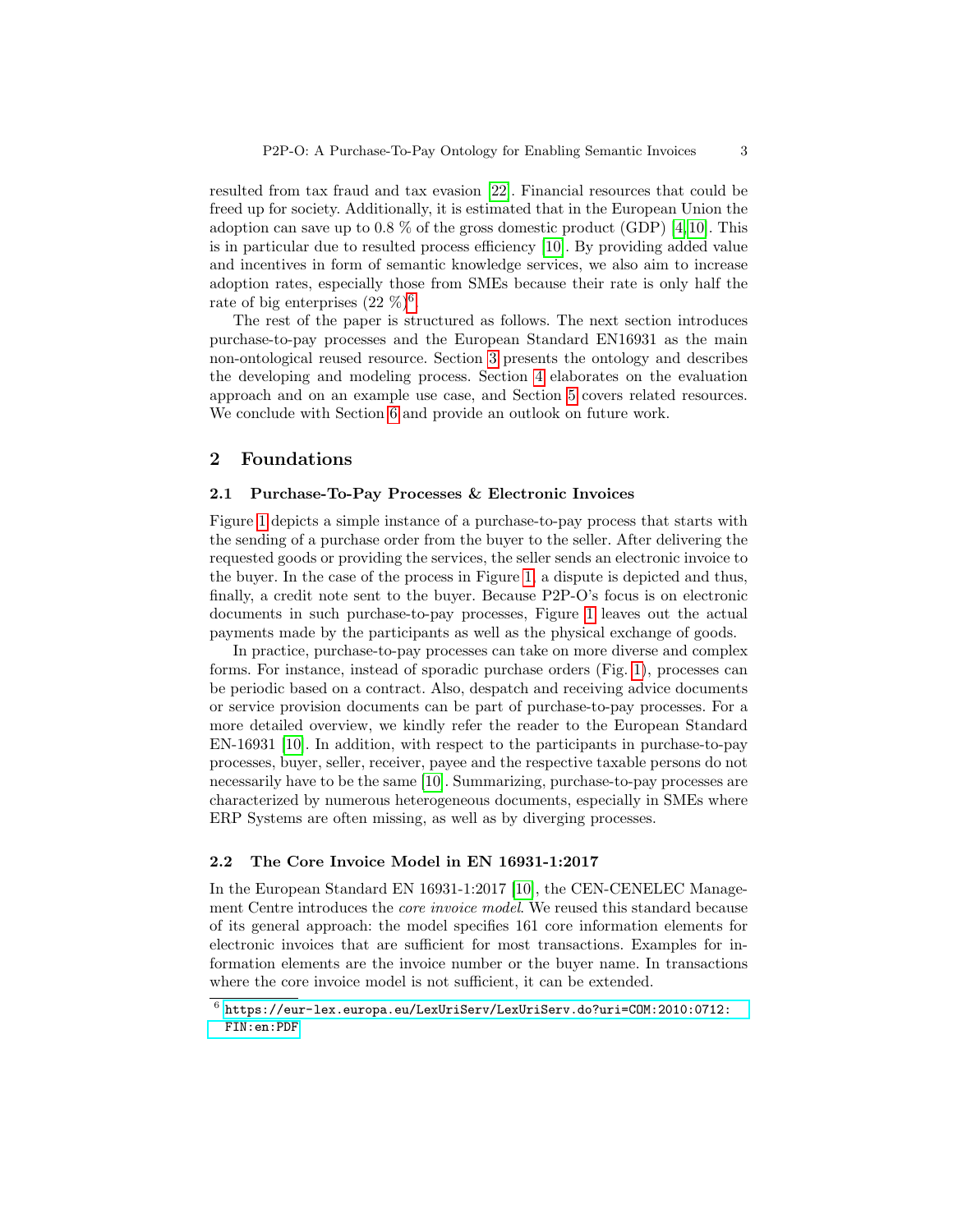resulted from tax fraud and tax evasion [\[22\]](#page-14-6). Financial resources that could be freed up for society. Additionally, it is estimated that in the European Union the adoption can save up to 0.8 % of the gross domestic product (GDP) [\[4,](#page-13-3) [10\]](#page-14-5). This is in particular due to resulted process efficiency [\[10\]](#page-14-5). By providing added value and incentives in form of semantic knowledge services, we also aim to increase adoption rates, especially those from SMEs because their rate is only half the rate of big enterprises  $(22 \%)^6$  $(22 \%)^6$ .

The rest of the paper is structured as follows. The next section introduces purchase-to-pay processes and the European Standard EN16931 as the main non-ontological reused resource. Section [3](#page-3-0) presents the ontology and describes the developing and modeling process. Section [4](#page-9-0) elaborates on the evaluation approach and on an example use case, and Section [5](#page-12-0) covers related resources. We conclude with Section [6](#page-13-4) and provide an outlook on future work.

## 2 Foundations

#### 2.1 Purchase-To-Pay Processes & Electronic Invoices

Figure [1](#page-3-1) depicts a simple instance of a purchase-to-pay process that starts with the sending of a purchase order from the buyer to the seller. After delivering the requested goods or providing the services, the seller sends an electronic invoice to the buyer. In the case of the process in Figure [1,](#page-3-1) a dispute is depicted and thus, finally, a credit note sent to the buyer. Because P2P-O's focus is on electronic documents in such purchase-to-pay processes, Figure [1](#page-3-1) leaves out the actual payments made by the participants as well as the physical exchange of goods.

In practice, purchase-to-pay processes can take on more diverse and complex forms. For instance, instead of sporadic purchase orders (Fig. [1\)](#page-3-1), processes can be periodic based on a contract. Also, despatch and receiving advice documents or service provision documents can be part of purchase-to-pay processes. For a more detailed overview, we kindly refer the reader to the European Standard EN-16931 [\[10\]](#page-14-5). In addition, with respect to the participants in purchase-to-pay processes, buyer, seller, receiver, payee and the respective taxable persons do not necessarily have to be the same [\[10\]](#page-14-5). Summarizing, purchase-to-pay processes are characterized by numerous heterogeneous documents, especially in SMEs where ERP Systems are often missing, as well as by diverging processes.

#### <span id="page-2-1"></span>2.2 The Core Invoice Model in EN 16931-1:2017

In the European Standard EN 16931-1:2017 [\[10\]](#page-14-5), the CEN-CENELEC Management Centre introduces the *core invoice model*. We reused this standard because of its general approach: the model specifies 161 core information elements for electronic invoices that are sufficient for most transactions. Examples for information elements are the invoice number or the buyer name. In transactions where the core invoice model is not sufficient, it can be extended.

<span id="page-2-0"></span> $^6$  [https://eur-lex.europa.eu/LexUriServ/LexUriServ.do?uri=COM:2010:0712:](https://eur-lex.europa.eu/LexUriServ/LexUriServ.do?uri=COM:2010:0712:FIN:en:PDF) [FIN:en:PDF](https://eur-lex.europa.eu/LexUriServ/LexUriServ.do?uri=COM:2010:0712:FIN:en:PDF)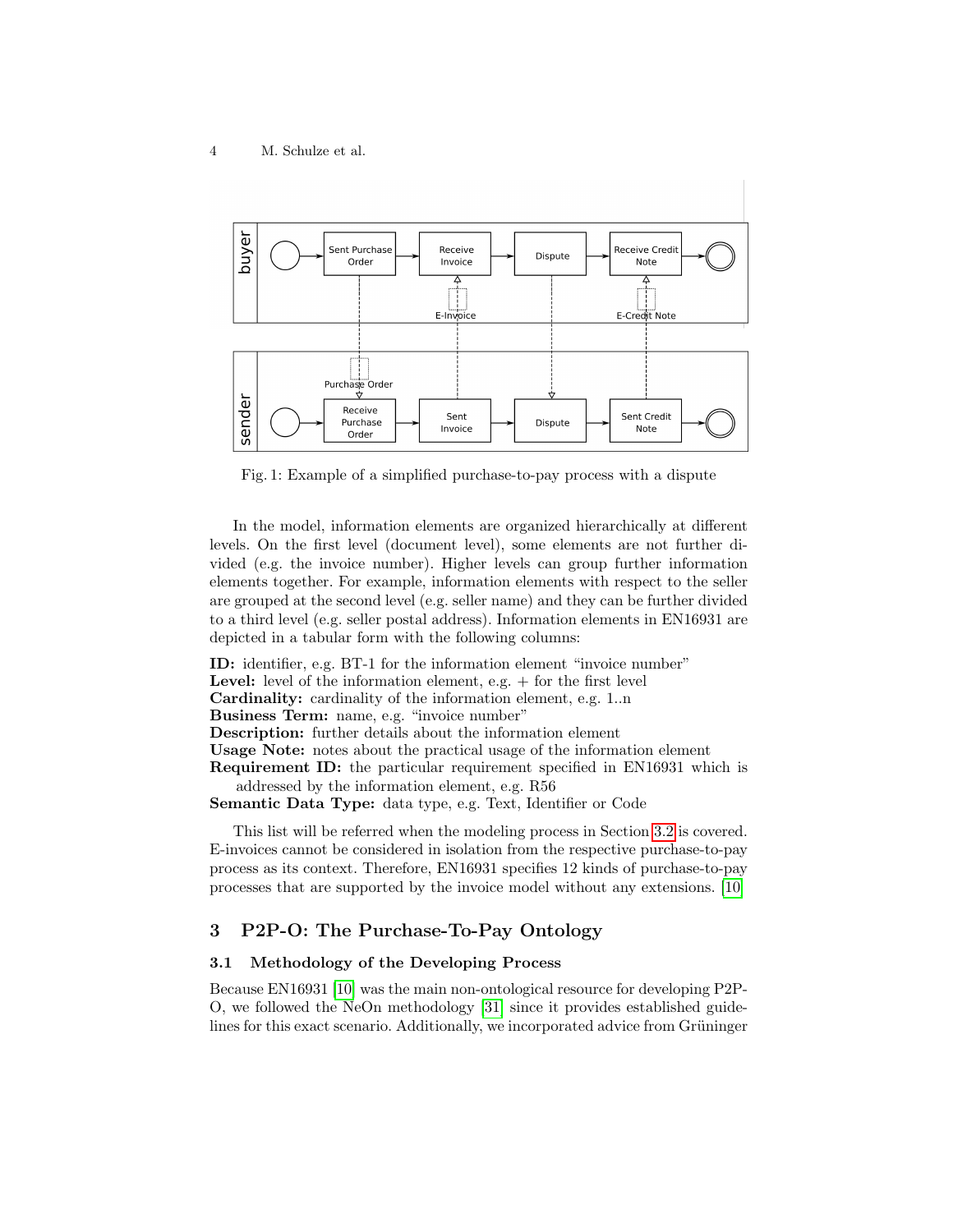<span id="page-3-1"></span>

Fig. 1: Example of a simplified purchase-to-pay process with a dispute

In the model, information elements are organized hierarchically at different levels. On the first level (document level), some elements are not further divided (e.g. the invoice number). Higher levels can group further information elements together. For example, information elements with respect to the seller are grouped at the second level (e.g. seller name) and they can be further divided to a third level (e.g. seller postal address). Information elements in EN16931 are depicted in a tabular form with the following columns:

ID: identifier, e.g. BT-1 for the information element "invoice number" **Level:** level of the information element, e.g.  $+$  for the first level Cardinality: cardinality of the information element, e.g. 1..n Business Term: name, e.g. "invoice number" Description: further details about the information element Usage Note: notes about the practical usage of the information element Requirement ID: the particular requirement specified in EN16931 which is addressed by the information element, e.g. R56

Semantic Data Type: data type, e.g. Text, Identifier or Code

This list will be referred when the modeling process in Section [3.2](#page-4-0) is covered. E-invoices cannot be considered in isolation from the respective purchase-to-pay process as its context. Therefore, EN16931 specifies 12 kinds of purchase-to-pay processes that are supported by the invoice model without any extensions. [\[10\]](#page-14-5)

## <span id="page-3-0"></span>3 P2P-O: The Purchase-To-Pay Ontology

## <span id="page-3-2"></span>3.1 Methodology of the Developing Process

Because EN16931 [\[10\]](#page-14-5) was the main non-ontological resource for developing P2P-O, we followed the NeOn methodology [\[31\]](#page-15-0) since it provides established guidelines for this exact scenario. Additionally, we incorporated advice from Grüninger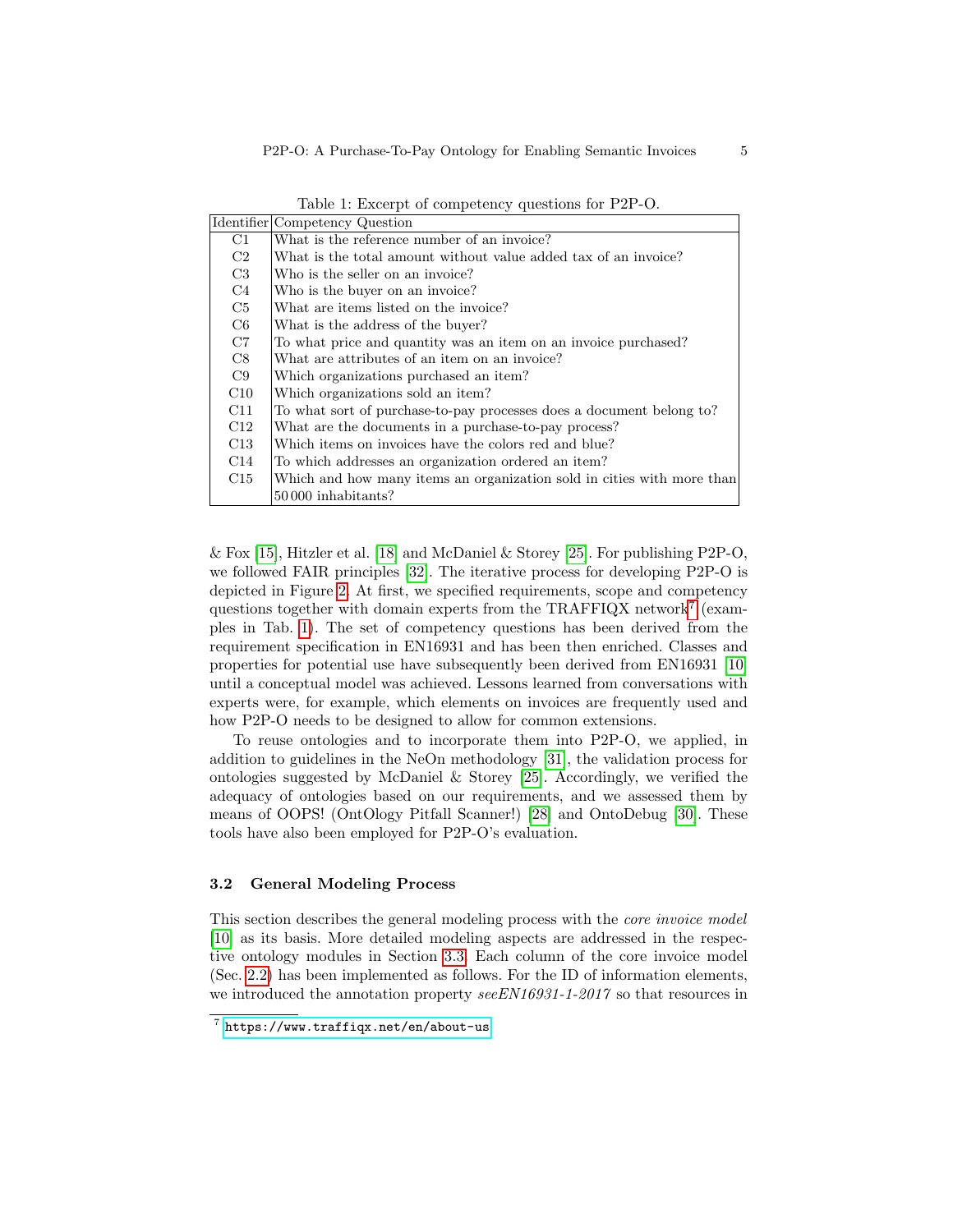<span id="page-4-2"></span>

|                | Identifier Competency Question                                         |  |  |  |  |  |  |
|----------------|------------------------------------------------------------------------|--|--|--|--|--|--|
| C1             | What is the reference number of an invoice?                            |  |  |  |  |  |  |
| C <sub>2</sub> | What is the total amount without value added tax of an invoice?        |  |  |  |  |  |  |
| C3             | Who is the seller on an invoice?                                       |  |  |  |  |  |  |
| C4             | Who is the buyer on an invoice?                                        |  |  |  |  |  |  |
| C5             | What are items listed on the invoice?                                  |  |  |  |  |  |  |
| C6             | What is the address of the buyer?                                      |  |  |  |  |  |  |
| C7             | To what price and quantity was an item on an invoice purchased?        |  |  |  |  |  |  |
| C8             | What are attributes of an item on an invoice?                          |  |  |  |  |  |  |
| C9             | Which organizations purchased an item?                                 |  |  |  |  |  |  |
| C10            | Which organizations sold an item?                                      |  |  |  |  |  |  |
| C11            | To what sort of purchase-to-pay processes does a document belong to?   |  |  |  |  |  |  |
| C12            | What are the documents in a purchase-to-pay process?                   |  |  |  |  |  |  |
| C13            | Which items on invoices have the colors red and blue?                  |  |  |  |  |  |  |
| C14            | To which addresses an organization ordered an item?                    |  |  |  |  |  |  |
| C15            | Which and how many items an organization sold in cities with more than |  |  |  |  |  |  |
|                | 50 000 inhabitants?                                                    |  |  |  |  |  |  |
|                |                                                                        |  |  |  |  |  |  |

Table 1: Excerpt of competency questions for P2P-O.

& Fox [\[15\]](#page-14-7), Hitzler et al. [\[18\]](#page-14-8) and McDaniel & Storey [\[25\]](#page-14-9). For publishing P2P-O, we followed FAIR principles [\[32\]](#page-15-1). The iterative process for developing P2P-O is depicted in Figure [2.](#page-6-0) At first, we specified requirements, scope and competency questions together with domain experts from the TRAFFIQX network<sup>[7](#page-4-1)</sup> (examples in Tab. [1\)](#page-4-2). The set of competency questions has been derived from the requirement specification in EN16931 and has been then enriched. Classes and properties for potential use have subsequently been derived from EN16931 [\[10\]](#page-14-5) until a conceptual model was achieved. Lessons learned from conversations with experts were, for example, which elements on invoices are frequently used and how P2P-O needs to be designed to allow for common extensions.

To reuse ontologies and to incorporate them into P2P-O, we applied, in addition to guidelines in the NeOn methodology [\[31\]](#page-15-0), the validation process for ontologies suggested by McDaniel & Storey [\[25\]](#page-14-9). Accordingly, we verified the adequacy of ontologies based on our requirements, and we assessed them by means of OOPS! (OntOlogy Pitfall Scanner!) [\[28\]](#page-15-2) and OntoDebug [\[30\]](#page-15-3). These tools have also been employed for P2P-O's evaluation.

## <span id="page-4-0"></span>3.2 General Modeling Process

This section describes the general modeling process with the core invoice model [\[10\]](#page-14-5) as its basis. More detailed modeling aspects are addressed in the respective ontology modules in Section [3.3.](#page-5-0) Each column of the core invoice model (Sec. [2.2\)](#page-2-1) has been implemented as follows. For the ID of information elements, we introduced the annotation property seeEN16931-1-2017 so that resources in

<span id="page-4-1"></span><sup>7</sup> <https://www.traffiqx.net/en/about-us>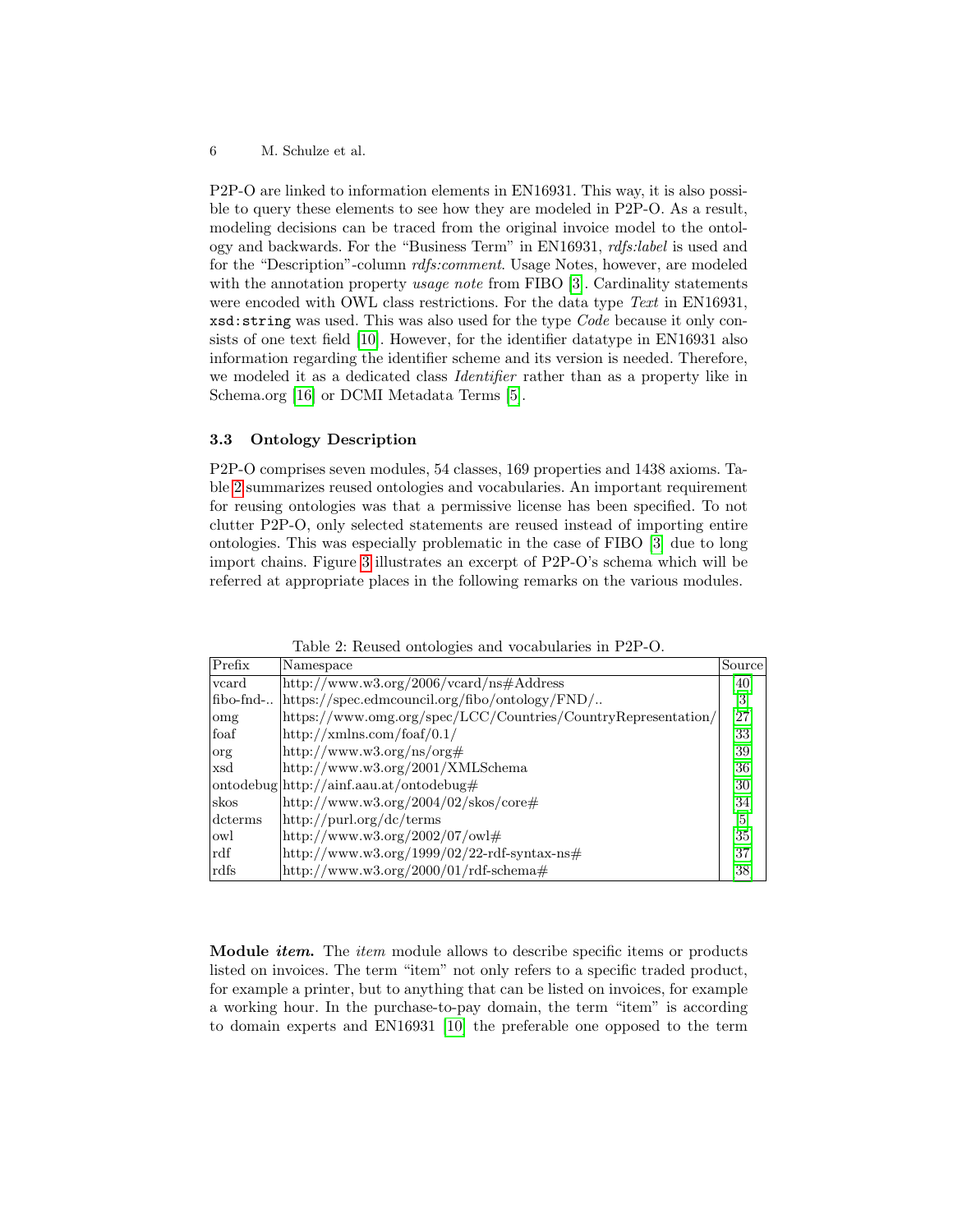P2P-O are linked to information elements in EN16931. This way, it is also possible to query these elements to see how they are modeled in P2P-O. As a result, modeling decisions can be traced from the original invoice model to the ontology and backwards. For the "Business Term" in EN16931, rdfs:label is used and for the "Description"-column rdfs:comment. Usage Notes, however, are modeled with the annotation property *usage note* from FIBO [\[3\]](#page-13-2). Cardinality statements were encoded with OWL class restrictions. For the data type Text in EN16931, xsd:string was used. This was also used for the type Code because it only consists of one text field [\[10\]](#page-14-5). However, for the identifier datatype in EN16931 also information regarding the identifier scheme and its version is needed. Therefore, we modeled it as a dedicated class Identifier rather than as a property like in Schema.org [\[16\]](#page-14-10) or DCMI Metadata Terms [\[5\]](#page-13-5).

#### <span id="page-5-0"></span>3.3 Ontology Description

P2P-O comprises seven modules, 54 classes, 169 properties and 1438 axioms. Table [2](#page-5-1) summarizes reused ontologies and vocabularies. An important requirement for reusing ontologies was that a permissive license has been specified. To not clutter P2P-O, only selected statements are reused instead of importing entire ontologies. This was especially problematic in the case of FIBO [\[3\]](#page-13-2) due to long import chains. Figure [3](#page-6-1) illustrates an excerpt of P2P-O's schema which will be referred at appropriate places in the following remarks on the various modules.

Table 2: Reused ontologies and vocabularies in P2P-O.

<span id="page-5-1"></span>

| Prefix      | Namespace                                                                                                                                                                                                                                                                                                                                                                 | Source             |  |  |
|-------------|---------------------------------------------------------------------------------------------------------------------------------------------------------------------------------------------------------------------------------------------------------------------------------------------------------------------------------------------------------------------------|--------------------|--|--|
| vcard       | http://www.w3.org/2006/vcard/ns#Address                                                                                                                                                                                                                                                                                                                                   | [40]               |  |  |
| fibo-fnd-   | $\vert$ https://spec.edmcouncil.org/fibo/ontology/FND/<br>http://xmlns.com/foaf/0.1/<br>http://www.w3.org/ns/org#<br>http://www.w3.org/2001/XMLSchema<br> ontodebug http://ainf.aau.at/ontodebug#<br>http://www.w3.org/2004/02/skos/core#<br>http://purl.org/dc/terms<br>$\frac{\text{http://www.w3.org/2002/07/owl#}}{$<br>$http://www.w3.org/1999/02/22-rdf-syntax-ns#$ |                    |  |  |
| omg         | https://www.omg.org/spec/LCC/Countries/CountryRepresentation/                                                                                                                                                                                                                                                                                                             | [27]               |  |  |
| foaf        |                                                                                                                                                                                                                                                                                                                                                                           | $[33]$             |  |  |
| org         |                                                                                                                                                                                                                                                                                                                                                                           | [39]               |  |  |
| <b>xsd</b>  |                                                                                                                                                                                                                                                                                                                                                                           | [36]               |  |  |
|             |                                                                                                                                                                                                                                                                                                                                                                           | [30]               |  |  |
| <b>skos</b> |                                                                                                                                                                                                                                                                                                                                                                           | $[34]$             |  |  |
| dcterms     |                                                                                                                                                                                                                                                                                                                                                                           | $\lceil 5 \rceil$  |  |  |
| lowl        |                                                                                                                                                                                                                                                                                                                                                                           | $\left[ 35\right]$ |  |  |
| ∣rdf        |                                                                                                                                                                                                                                                                                                                                                                           | [37]               |  |  |
| rdfs        | $\frac{3 \text{http:}}{\text{wtp:}}$ www.w3.org/2000/01/rdf-schema#                                                                                                                                                                                                                                                                                                       | [38]               |  |  |

**Module** *item*. The *item* module allows to describe specific items or products listed on invoices. The term "item" not only refers to a specific traded product, for example a printer, but to anything that can be listed on invoices, for example a working hour. In the purchase-to-pay domain, the term "item" is according to domain experts and EN16931 [\[10\]](#page-14-5) the preferable one opposed to the term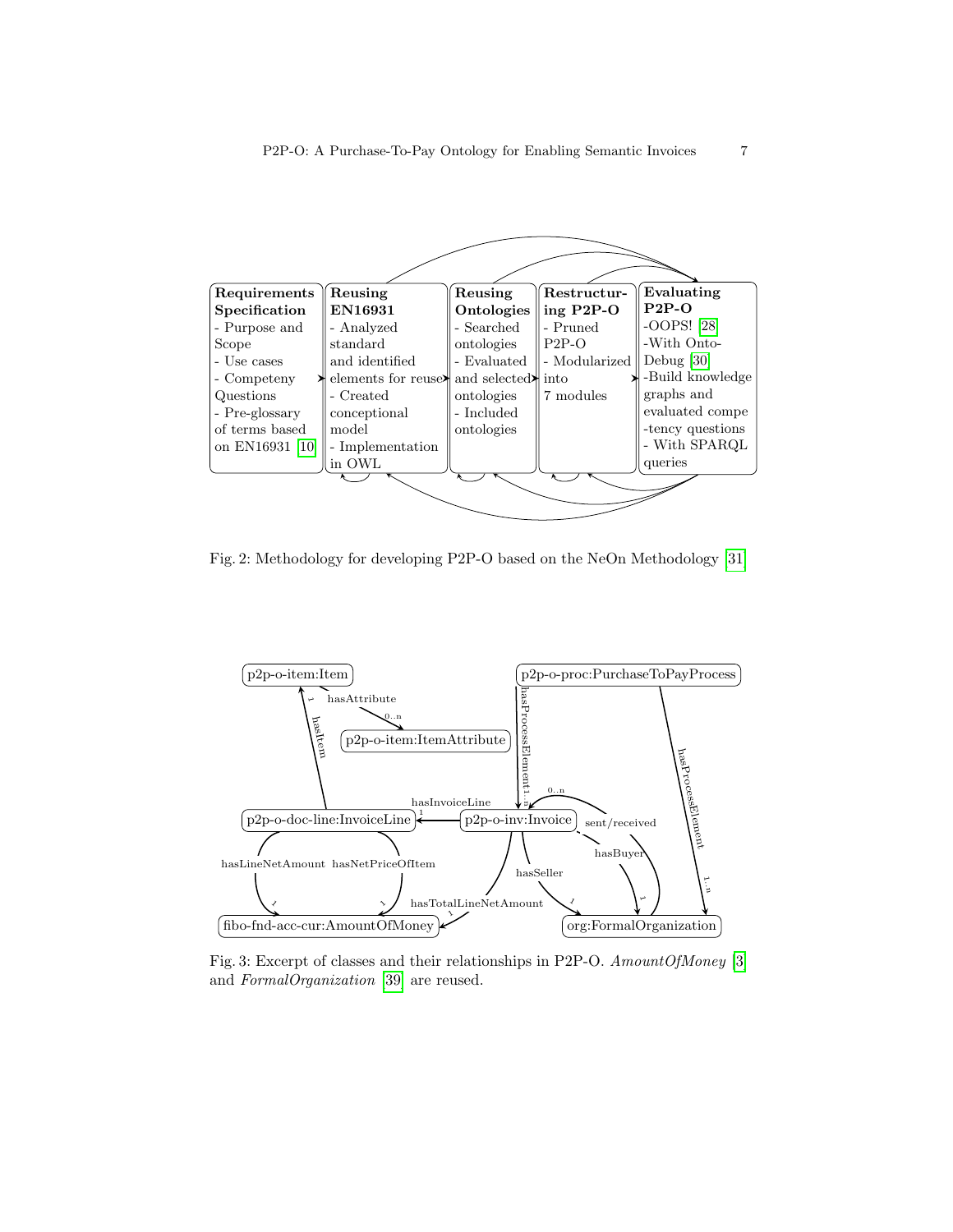<span id="page-6-0"></span>

Fig. 2: Methodology for developing P2P-O based on the NeOn Methodology [\[31\]](#page-15-0)

<span id="page-6-1"></span>

Fig. 3: Excerpt of classes and their relationships in P2P-O. AmountOfMoney [\[3\]](#page-13-2) and FormalOrganization [\[39\]](#page-15-7) are reused.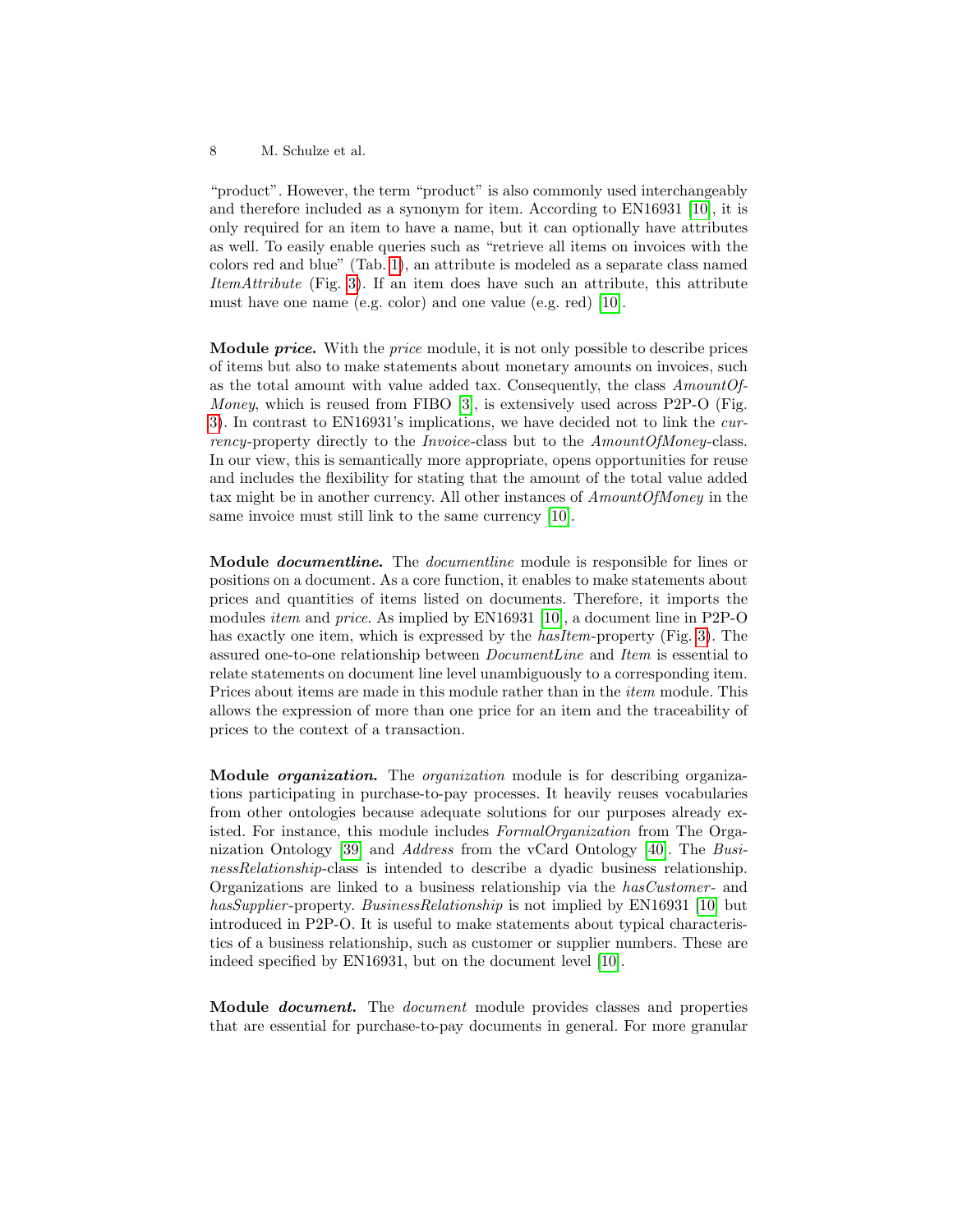"product". However, the term "product" is also commonly used interchangeably and therefore included as a synonym for item. According to EN16931 [\[10\]](#page-14-5), it is only required for an item to have a name, but it can optionally have attributes as well. To easily enable queries such as "retrieve all items on invoices with the colors red and blue" (Tab. [1\)](#page-4-2), an attribute is modeled as a separate class named ItemAttribute (Fig. [3\)](#page-6-1). If an item does have such an attribute, this attribute must have one name (e.g. color) and one value (e.g. red) [\[10\]](#page-14-5).

Module *price*. With the *price* module, it is not only possible to describe prices of items but also to make statements about monetary amounts on invoices, such as the total amount with value added tax. Consequently, the class  $AmountOf$ -Money, which is reused from FIBO [\[3\]](#page-13-2), is extensively used across P2P-O (Fig. [3\)](#page-6-1). In contrast to EN16931's implications, we have decided not to link the currency-property directly to the Invoice-class but to the AmountOfMoney-class. In our view, this is semantically more appropriate, opens opportunities for reuse and includes the flexibility for stating that the amount of the total value added tax might be in another currency. All other instances of AmountOfMoney in the same invoice must still link to the same currency [\[10\]](#page-14-5).

Module *documentline*. The *documentline* module is responsible for lines or positions on a document. As a core function, it enables to make statements about prices and quantities of items listed on documents. Therefore, it imports the modules item and price. As implied by EN16931 [\[10\]](#page-14-5), a document line in P2P-O has exactly one item, which is expressed by the *hasItem*-property (Fig. [3\)](#page-6-1). The assured one-to-one relationship between DocumentLine and Item is essential to relate statements on document line level unambiguously to a corresponding item. Prices about items are made in this module rather than in the *item* module. This allows the expression of more than one price for an item and the traceability of prices to the context of a transaction.

Module *organization*. The *organization* module is for describing organizations participating in purchase-to-pay processes. It heavily reuses vocabularies from other ontologies because adequate solutions for our purposes already existed. For instance, this module includes FormalOrganization from The Organization Ontology [\[39\]](#page-15-7) and Address from the vCard Ontology [\[40\]](#page-15-4). The BusinessRelationship-class is intended to describe a dyadic business relationship. Organizations are linked to a business relationship via the hasCustomer- and hasSupplier-property. BusinessRelationship is not implied by EN16931 [\[10\]](#page-14-5) but introduced in P2P-O. It is useful to make statements about typical characteristics of a business relationship, such as customer or supplier numbers. These are indeed specified by EN16931, but on the document level [\[10\]](#page-14-5).

Module *document*. The *document* module provides classes and properties that are essential for purchase-to-pay documents in general. For more granular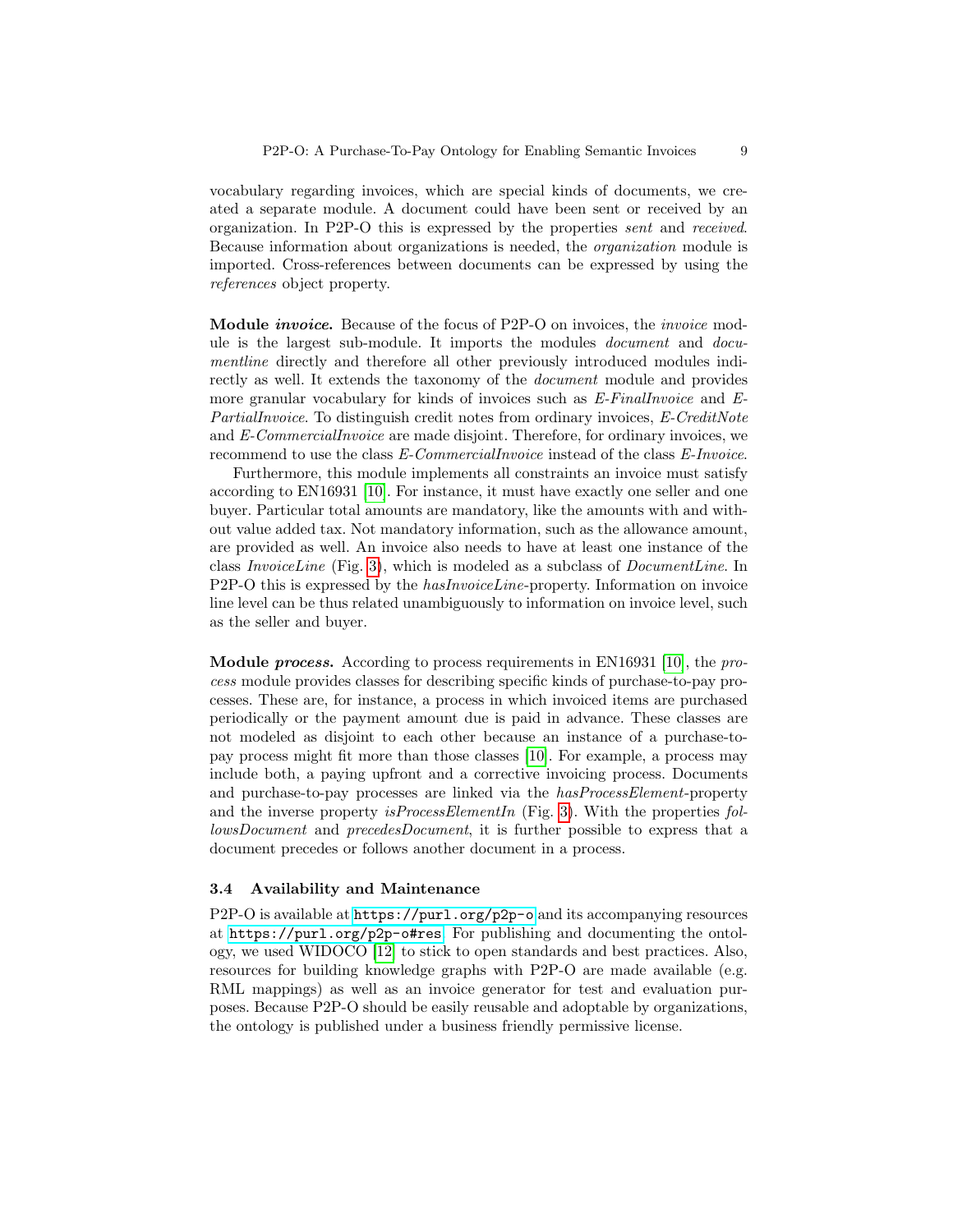vocabulary regarding invoices, which are special kinds of documents, we created a separate module. A document could have been sent or received by an organization. In P2P-O this is expressed by the properties sent and received. Because information about organizations is needed, the organization module is imported. Cross-references between documents can be expressed by using the references object property.

Module *invoice*. Because of the focus of P2P-O on invoices, the *invoice* module is the largest sub-module. It imports the modules document and documentline directly and therefore all other previously introduced modules indirectly as well. It extends the taxonomy of the document module and provides more granular vocabulary for kinds of invoices such as  $E\text{-}FinalIn$ voice and  $E\text{-}$ PartialInvoice. To distinguish credit notes from ordinary invoices, E-CreditNote and E-CommercialInvoice are made disjoint. Therefore, for ordinary invoices, we recommend to use the class E-CommercialInvoice instead of the class E-Invoice.

Furthermore, this module implements all constraints an invoice must satisfy according to EN16931 [\[10\]](#page-14-5). For instance, it must have exactly one seller and one buyer. Particular total amounts are mandatory, like the amounts with and without value added tax. Not mandatory information, such as the allowance amount, are provided as well. An invoice also needs to have at least one instance of the class InvoiceLine (Fig. [3\)](#page-6-1), which is modeled as a subclass of DocumentLine. In P2P-O this is expressed by the *hasInvoiceLine*-property. Information on invoice line level can be thus related unambiguously to information on invoice level, such as the seller and buyer.

Module *process*. According to process requirements in EN16931 [\[10\]](#page-14-5), the process module provides classes for describing specific kinds of purchase-to-pay processes. These are, for instance, a process in which invoiced items are purchased periodically or the payment amount due is paid in advance. These classes are not modeled as disjoint to each other because an instance of a purchase-topay process might fit more than those classes [\[10\]](#page-14-5). For example, a process may include both, a paying upfront and a corrective invoicing process. Documents and purchase-to-pay processes are linked via the hasProcessElement-property and the inverse property *isProcessElementIn* (Fig. [3\)](#page-6-1). With the properties followsDocument and precedesDocument, it is further possible to express that a document precedes or follows another document in a process.

#### 3.4 Availability and Maintenance

P2P-O is available at <https://purl.org/p2p-o> and its accompanying resources at <https://purl.org/p2p-o#res>. For publishing and documenting the ontology, we used WIDOCO [\[12\]](#page-14-11) to stick to open standards and best practices. Also, resources for building knowledge graphs with P2P-O are made available (e.g. RML mappings) as well as an invoice generator for test and evaluation purposes. Because P2P-O should be easily reusable and adoptable by organizations, the ontology is published under a business friendly permissive license.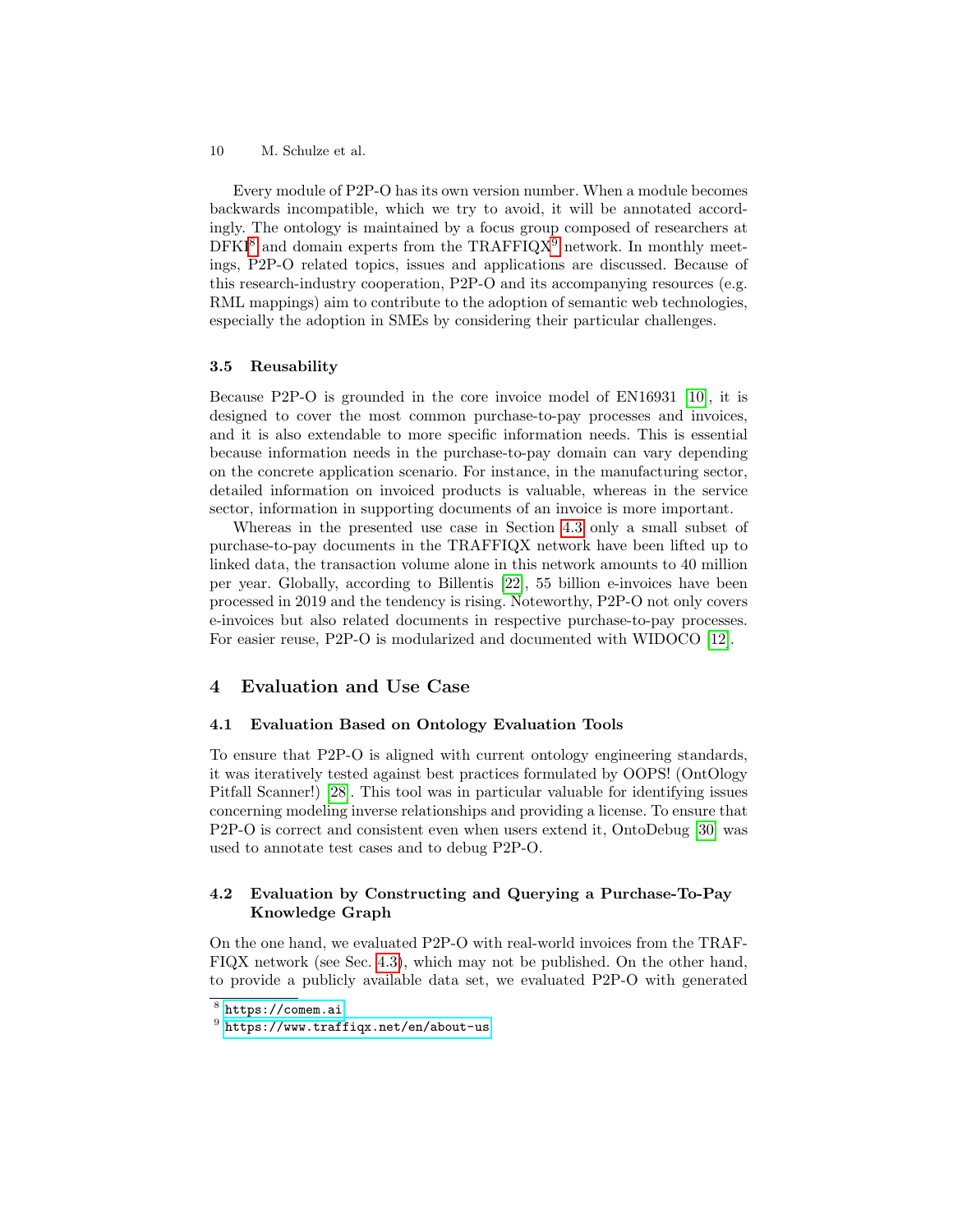Every module of P2P-O has its own version number. When a module becomes backwards incompatible, which we try to avoid, it will be annotated accordingly. The ontology is maintained by a focus group composed of researchers at  $\text{DFKI}^8$  $\text{DFKI}^8$  and domain experts from the TRAFFIQX<sup>[9](#page-9-2)</sup> network. In monthly meetings, P2P-O related topics, issues and applications are discussed. Because of this research-industry cooperation, P2P-O and its accompanying resources (e.g. RML mappings) aim to contribute to the adoption of semantic web technologies, especially the adoption in SMEs by considering their particular challenges.

#### 3.5 Reusability

Because P2P-O is grounded in the core invoice model of EN16931 [\[10\]](#page-14-5), it is designed to cover the most common purchase-to-pay processes and invoices, and it is also extendable to more specific information needs. This is essential because information needs in the purchase-to-pay domain can vary depending on the concrete application scenario. For instance, in the manufacturing sector, detailed information on invoiced products is valuable, whereas in the service sector, information in supporting documents of an invoice is more important.

Whereas in the presented use case in Section [4.3](#page-11-0) only a small subset of purchase-to-pay documents in the TRAFFIQX network have been lifted up to linked data, the transaction volume alone in this network amounts to 40 million per year. Globally, according to Billentis [\[22\]](#page-14-6), 55 billion e-invoices have been processed in 2019 and the tendency is rising. Noteworthy, P2P-O not only covers e-invoices but also related documents in respective purchase-to-pay processes. For easier reuse, P2P-O is modularized and documented with WIDOCO [\[12\]](#page-14-11).

## <span id="page-9-0"></span>4 Evaluation and Use Case

#### 4.1 Evaluation Based on Ontology Evaluation Tools

To ensure that P2P-O is aligned with current ontology engineering standards, it was iteratively tested against best practices formulated by OOPS! (OntOlogy Pitfall Scanner!) [\[28\]](#page-15-2). This tool was in particular valuable for identifying issues concerning modeling inverse relationships and providing a license. To ensure that P2P-O is correct and consistent even when users extend it, OntoDebug [\[30\]](#page-15-3) was used to annotate test cases and to debug P2P-O.

## <span id="page-9-3"></span>4.2 Evaluation by Constructing and Querying a Purchase-To-Pay Knowledge Graph

On the one hand, we evaluated P2P-O with real-world invoices from the TRAF-FIQX network (see Sec. [4.3\)](#page-11-0), which may not be published. On the other hand, to provide a publicly available data set, we evaluated P2P-O with generated

<span id="page-9-1"></span><sup>8</sup> <https://comem.ai>

<span id="page-9-2"></span> $^9$  <https://www.traffiqx.net/en/about-us>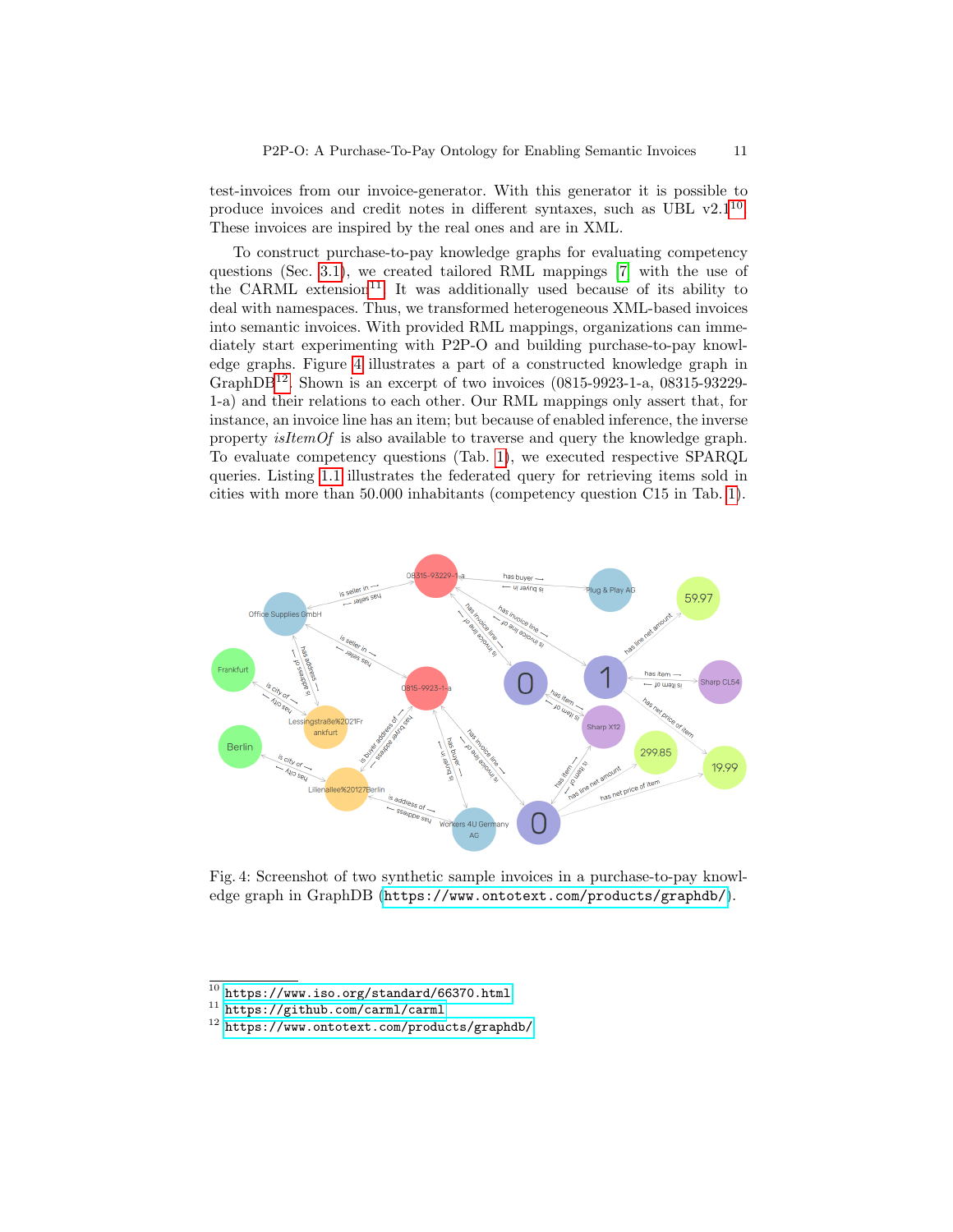test-invoices from our invoice-generator. With this generator it is possible to produce invoices and credit notes in different syntaxes, such as UBL v2.1<sup>[10](#page-10-0)</sup>. These invoices are inspired by the real ones and are in XML.

To construct purchase-to-pay knowledge graphs for evaluating competency questions (Sec. [3.1\)](#page-3-2), we created tailored RML mappings [\[7\]](#page-13-6) with the use of the CARML extension<sup>[11](#page-10-1)</sup>. It was additionally used because of its ability to deal with namespaces. Thus, we transformed heterogeneous XML-based invoices into semantic invoices. With provided RML mappings, organizations can immediately start experimenting with P2P-O and building purchase-to-pay knowledge graphs. Figure [4](#page-10-2) illustrates a part of a constructed knowledge graph in GraphDB<sup>[12](#page-10-3)</sup>. Shown is an excerpt of two invoices  $(0815-9923-1-a, 08315-93229-1)$ 1-a) and their relations to each other. Our RML mappings only assert that, for instance, an invoice line has an item; but because of enabled inference, the inverse property isItemOf is also available to traverse and query the knowledge graph. To evaluate competency questions (Tab. [1\)](#page-4-2), we executed respective SPARQL queries. Listing [1.1](#page-11-1) illustrates the federated query for retrieving items sold in cities with more than 50.000 inhabitants (competency question C15 in Tab. [1\)](#page-4-2).

<span id="page-10-2"></span>

Fig. 4: Screenshot of two synthetic sample invoices in a purchase-to-pay knowledge graph in GraphDB (<https://www.ontotext.com/products/graphdb/>).

<span id="page-10-0"></span> $^{10}$ <https://www.iso.org/standard/66370.html>

<span id="page-10-1"></span> $11$  <https://github.com/carml/carml>

<span id="page-10-3"></span><sup>12</sup> <https://www.ontotext.com/products/graphdb/>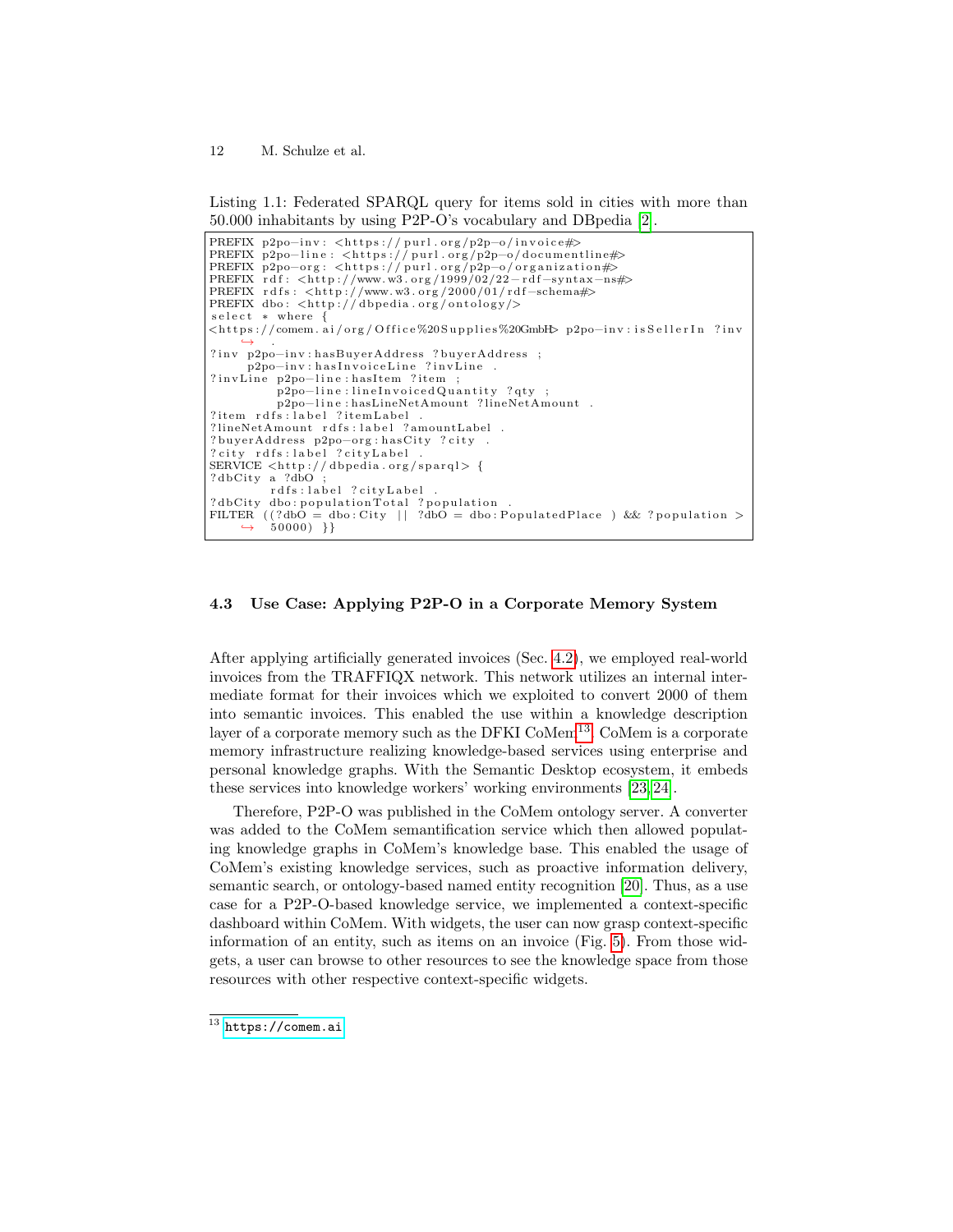<span id="page-11-1"></span>Listing 1.1: Federated SPARQL query for items sold in cities with more than 50.000 inhabitants by using P2P-O's vocabulary and DBpedia [\[2\]](#page-13-7).

```
PREFIX p2po−inv: <https://purl.org/p2p−o/invoice#><br>PREFIX p2po−line: <https://purl.org/p2p−o/documentline#>
PREFIX p2p0-org: <a href="https://p'uri.org/p2p-o/organization#>http://p'uri.org/p2p-o/organization#>">PREFIX p2p0-org: <a href="https://p'uri.org/p2p-o/organization#>">https://p'uri.org/p2p-o/organization#></a>PREFIX rdf: <http://www.w3.org/1999/02/22−rdf−syntax−ns#><br>PREFIX rdfs: <http://www.w3.org/2000/01/rdf−schema#>
PREFIX dbo: <http://dbpedia.org/ontology/>
select * where {
<h t t p s : / / comem . a i / o r g / O f f i c e %20 S u p p l i e s%20GmbH> p2po−in v : i s S e l l e r I n ? in v
      ,→ .
?inv p2po-inv : hasBuyerAddress ? buyerAddress ;
      p2po−inv : hasInvoiceLine ?invLine
? invLine p2po-line : hasItem ? item ;
            p2po-line:lineInvoicedQuantity ?qty ;
            p2po-line : hasLineNetAmount ?lineNetAmount .
? item rdfs: label ? itemLabel
?lineNetAmount rdfs:label ?amountLabel .
? buy er Address p2po-org : has City ? city
? city r dfs : label ? city Label
SERVICE <http://dbpedia.org/sparql>{
?dbCity a ?dbO
           rdfs: label ? cityLabel .
? dbCity dbo: population Total ? population
FILTER ((?dbO = dbo: City || ?dbO = dbo: Population >\leftrightarrow 50000) }}
```
## <span id="page-11-0"></span>4.3 Use Case: Applying P2P-O in a Corporate Memory System

After applying artificially generated invoices (Sec. [4.2\)](#page-9-3), we employed real-world invoices from the TRAFFIQX network. This network utilizes an internal intermediate format for their invoices which we exploited to convert 2000 of them into semantic invoices. This enabled the use within a knowledge description layer of a corporate memory such as the DFKI CoMem<sup>[13](#page-11-2)</sup>. CoMem is a corporate memory infrastructure realizing knowledge-based services using enterprise and personal knowledge graphs. With the Semantic Desktop ecosystem, it embeds these services into knowledge workers' working environments [\[23,](#page-14-12) [24\]](#page-14-3).

Therefore, P2P-O was published in the CoMem ontology server. A converter was added to the CoMem semantification service which then allowed populating knowledge graphs in CoMem's knowledge base. This enabled the usage of CoMem's existing knowledge services, such as proactive information delivery, semantic search, or ontology-based named entity recognition [\[20\]](#page-14-13). Thus, as a use case for a P2P-O-based knowledge service, we implemented a context-specific dashboard within CoMem. With widgets, the user can now grasp context-specific information of an entity, such as items on an invoice (Fig. [5\)](#page-12-1). From those widgets, a user can browse to other resources to see the knowledge space from those resources with other respective context-specific widgets.

<span id="page-11-2"></span> $\overline{13}$  <https://comem.ai>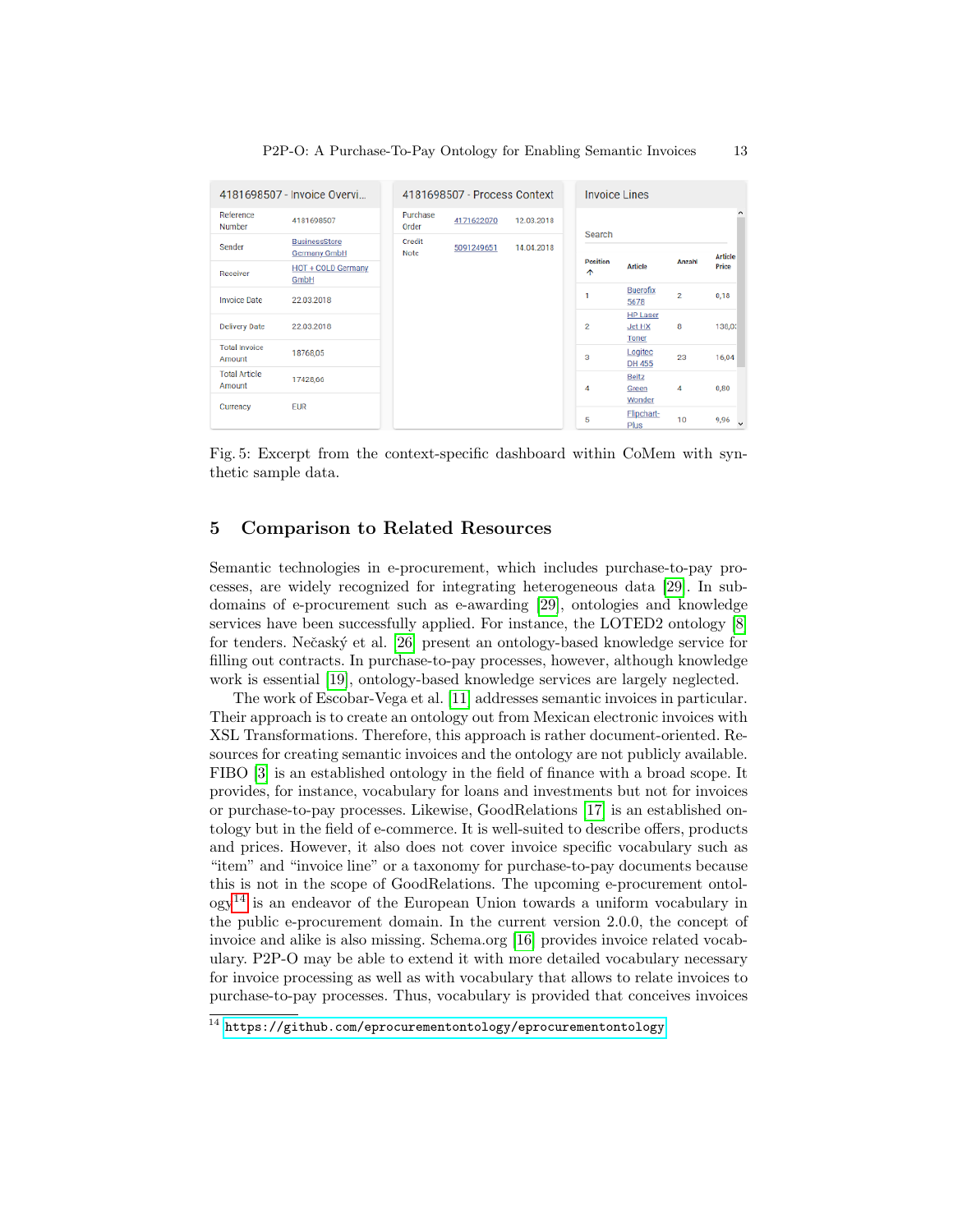<span id="page-12-1"></span>

| 4181698507 - Invoice Overvi    |                                             | 4181698507 - Process Context |            |            |                | <b>Invoice Lines</b>                |                |                   |  |
|--------------------------------|---------------------------------------------|------------------------------|------------|------------|----------------|-------------------------------------|----------------|-------------------|--|
| Reference<br>Number            | 4181698507                                  | Purchase<br>Order            | 4171622070 | 12.03.2018 | Search         |                                     |                | ۸                 |  |
| Sender                         | <b>BusinessStore</b><br><b>Germany GmbH</b> | Credit<br>Note               | 5091249651 |            |                |                                     | <b>Article</b> |                   |  |
| Receiver                       | <b>HOT + COLD Germany</b><br>GmbH           |                              |            |            | Position<br>٠  | <b>Article</b>                      | Anzahl         | Price             |  |
| <b>Invoice Date</b>            | 22.03.2018                                  |                              |            |            |                | Buerofix<br>5678                    | $\overline{2}$ | 0.18              |  |
| <b>Delivery Date</b>           | 22.03.2018                                  |                              |            |            | $\overline{c}$ | <b>HP Laser</b><br>Jet HX<br>Toner  | 8              | 138,0%            |  |
| <b>Total Invoice</b><br>Amount | 18768.05                                    |                              |            |            | 3              | Logitec<br>DH 455                   | 23             | 16,04             |  |
| <b>Total Article</b><br>Amount | 17428,66                                    |                              |            |            | 4              | <b>Beitz</b><br>Green               | 4              | 0.80              |  |
| Currency                       | <b>EUR</b>                                  |                              |            |            | 5              | Wonder<br>Flipchart-<br><b>Plus</b> | 10             | $9,96$ $\sqrt{ }$ |  |

Fig. 5: Excerpt from the context-specific dashboard within CoMem with synthetic sample data.

## <span id="page-12-0"></span>5 Comparison to Related Resources

Semantic technologies in e-procurement, which includes purchase-to-pay processes, are widely recognized for integrating heterogeneous data [\[29\]](#page-15-13). In subdomains of e-procurement such as e-awarding [\[29\]](#page-15-13), ontologies and knowledge services have been successfully applied. For instance, the LOTED2 ontology [\[8\]](#page-14-14) for tenders. Neˇcask´y et al. [\[26\]](#page-15-14) present an ontology-based knowledge service for filling out contracts. In purchase-to-pay processes, however, although knowledge work is essential [\[19\]](#page-14-0), ontology-based knowledge services are largely neglected.

The work of Escobar-Vega et al. [\[11\]](#page-14-15) addresses semantic invoices in particular. Their approach is to create an ontology out from Mexican electronic invoices with XSL Transformations. Therefore, this approach is rather document-oriented. Resources for creating semantic invoices and the ontology are not publicly available. FIBO [\[3\]](#page-13-2) is an established ontology in the field of finance with a broad scope. It provides, for instance, vocabulary for loans and investments but not for invoices or purchase-to-pay processes. Likewise, GoodRelations [\[17\]](#page-14-4) is an established ontology but in the field of e-commerce. It is well-suited to describe offers, products and prices. However, it also does not cover invoice specific vocabulary such as "item" and "invoice line" or a taxonomy for purchase-to-pay documents because this is not in the scope of GoodRelations. The upcoming e-procurement ontol- $\log y^{14}$  $\log y^{14}$  $\log y^{14}$  is an endeavor of the European Union towards a uniform vocabulary in the public e-procurement domain. In the current version 2.0.0, the concept of invoice and alike is also missing. Schema.org [\[16\]](#page-14-10) provides invoice related vocabulary. P2P-O may be able to extend it with more detailed vocabulary necessary for invoice processing as well as with vocabulary that allows to relate invoices to purchase-to-pay processes. Thus, vocabulary is provided that conceives invoices

<span id="page-12-2"></span> $\overline{^{14}$  <https://github.com/eprocurementontology/eprocurementontology>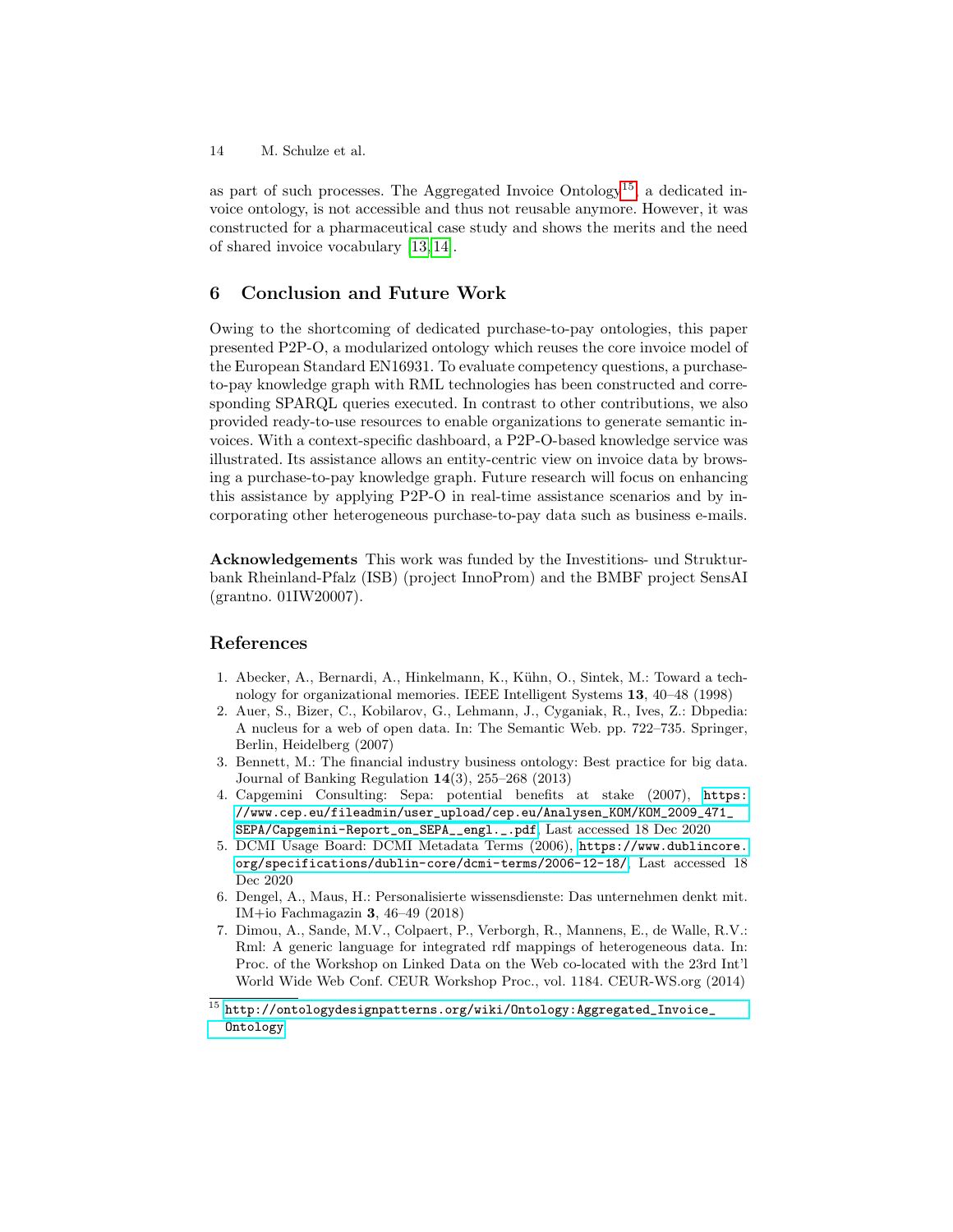as part of such processes. The Aggregated Invoice  $Ontology^{15}$  $Ontology^{15}$  $Ontology^{15}$ , a dedicated invoice ontology, is not accessible and thus not reusable anymore. However, it was constructed for a pharmaceutical case study and shows the merits and the need of shared invoice vocabulary [\[13,](#page-14-16) [14\]](#page-14-17).

# <span id="page-13-4"></span>6 Conclusion and Future Work

Owing to the shortcoming of dedicated purchase-to-pay ontologies, this paper presented P2P-O, a modularized ontology which reuses the core invoice model of the European Standard EN16931. To evaluate competency questions, a purchaseto-pay knowledge graph with RML technologies has been constructed and corresponding SPARQL queries executed. In contrast to other contributions, we also provided ready-to-use resources to enable organizations to generate semantic invoices. With a context-specific dashboard, a P2P-O-based knowledge service was illustrated. Its assistance allows an entity-centric view on invoice data by browsing a purchase-to-pay knowledge graph. Future research will focus on enhancing this assistance by applying P2P-O in real-time assistance scenarios and by incorporating other heterogeneous purchase-to-pay data such as business e-mails.

Acknowledgements This work was funded by the Investitions- und Strukturbank Rheinland-Pfalz (ISB) (project InnoProm) and the BMBF project SensAI (grantno. 01IW20007).

## References

- <span id="page-13-1"></span>1. Abecker, A., Bernardi, A., Hinkelmann, K., Kühn, O., Sintek, M.: Toward a technology for organizational memories. IEEE Intelligent Systems 13, 40–48 (1998)
- <span id="page-13-7"></span>2. Auer, S., Bizer, C., Kobilarov, G., Lehmann, J., Cyganiak, R., Ives, Z.: Dbpedia: A nucleus for a web of open data. In: The Semantic Web. pp. 722–735. Springer, Berlin, Heidelberg (2007)
- <span id="page-13-2"></span>3. Bennett, M.: The financial industry business ontology: Best practice for big data. Journal of Banking Regulation 14(3), 255–268 (2013)
- <span id="page-13-3"></span>4. Capgemini Consulting: Sepa: potential benefits at stake (2007), [https:](https://www.cep.eu/fileadmin/user_upload/cep.eu/Analysen_KOM/KOM_2009_471_SEPA/Capgemini-Report_on_SEPA__engl._.pdf) [//www.cep.eu/fileadmin/user\\_upload/cep.eu/Analysen\\_KOM/KOM\\_2009\\_471\\_](https://www.cep.eu/fileadmin/user_upload/cep.eu/Analysen_KOM/KOM_2009_471_SEPA/Capgemini-Report_on_SEPA__engl._.pdf) [SEPA/Capgemini-Report\\_on\\_SEPA\\_\\_engl.\\_.pdf](https://www.cep.eu/fileadmin/user_upload/cep.eu/Analysen_KOM/KOM_2009_471_SEPA/Capgemini-Report_on_SEPA__engl._.pdf), Last accessed 18 Dec 2020
- <span id="page-13-5"></span>5. DCMI Usage Board: DCMI Metadata Terms (2006), [https://www.dublincore.](https://www.dublincore.org/specifications/dublin-core/dcmi-terms/2006-12-18/) [org/specifications/dublin-core/dcmi-terms/2006-12-18/](https://www.dublincore.org/specifications/dublin-core/dcmi-terms/2006-12-18/), Last accessed 18 Dec 2020
- <span id="page-13-0"></span>6. Dengel, A., Maus, H.: Personalisierte wissensdienste: Das unternehmen denkt mit. IM+io Fachmagazin 3, 46–49 (2018)
- <span id="page-13-6"></span>7. Dimou, A., Sande, M.V., Colpaert, P., Verborgh, R., Mannens, E., de Walle, R.V.: Rml: A generic language for integrated rdf mappings of heterogeneous data. In: Proc. of the Workshop on Linked Data on the Web co-located with the 23rd Int'l World Wide Web Conf. CEUR Workshop Proc., vol. 1184. CEUR-WS.org (2014)

<span id="page-13-8"></span> $^{15}$  [http://ontologydesignpatterns.org/wiki/Ontology:Aggregated\\_Invoice\\_](http://ontologydesignpatterns.org/wiki/Ontology:Aggregated_Invoice_Ontology) [Ontology](http://ontologydesignpatterns.org/wiki/Ontology:Aggregated_Invoice_Ontology)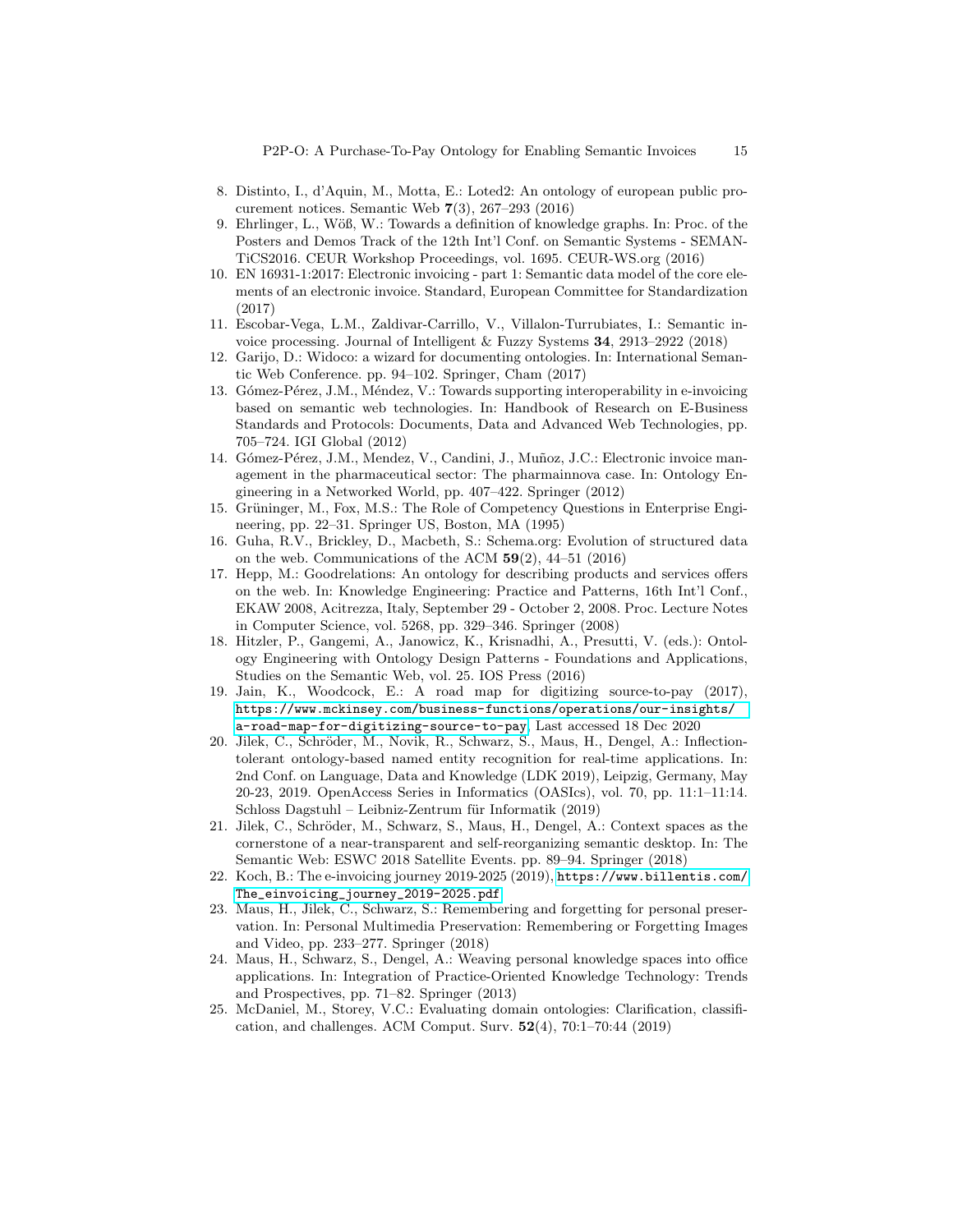- <span id="page-14-14"></span>8. Distinto, I., d'Aquin, M., Motta, E.: Loted2: An ontology of european public procurement notices. Semantic Web 7(3), 267–293 (2016)
- <span id="page-14-1"></span>9. Ehrlinger, L., Wöß, W.: Towards a definition of knowledge graphs. In: Proc. of the Posters and Demos Track of the 12th Int'l Conf. on Semantic Systems - SEMAN-TiCS2016. CEUR Workshop Proceedings, vol. 1695. CEUR-WS.org (2016)
- <span id="page-14-5"></span>10. EN 16931-1:2017: Electronic invoicing - part 1: Semantic data model of the core elements of an electronic invoice. Standard, European Committee for Standardization (2017)
- <span id="page-14-15"></span>11. Escobar-Vega, L.M., Zaldivar-Carrillo, V., Villalon-Turrubiates, I.: Semantic invoice processing. Journal of Intelligent & Fuzzy Systems 34, 2913–2922 (2018)
- <span id="page-14-11"></span>12. Garijo, D.: Widoco: a wizard for documenting ontologies. In: International Semantic Web Conference. pp. 94–102. Springer, Cham (2017)
- <span id="page-14-16"></span>13. Gómez-Pérez, J.M., Méndez, V.: Towards supporting interoperability in e-invoicing based on semantic web technologies. In: Handbook of Research on E-Business Standards and Protocols: Documents, Data and Advanced Web Technologies, pp. 705–724. IGI Global (2012)
- <span id="page-14-17"></span>14. Gómez-Pérez, J.M., Mendez, V., Candini, J., Muñoz, J.C.: Electronic invoice management in the pharmaceutical sector: The pharmainnova case. In: Ontology Engineering in a Networked World, pp. 407–422. Springer (2012)
- <span id="page-14-7"></span>15. Grüninger, M., Fox, M.S.: The Role of Competency Questions in Enterprise Engineering, pp. 22–31. Springer US, Boston, MA (1995)
- <span id="page-14-10"></span>16. Guha, R.V., Brickley, D., Macbeth, S.: Schema.org: Evolution of structured data on the web. Communications of the ACM  $59(2)$ , 44–51 (2016)
- <span id="page-14-4"></span>17. Hepp, M.: Goodrelations: An ontology for describing products and services offers on the web. In: Knowledge Engineering: Practice and Patterns, 16th Int'l Conf., EKAW 2008, Acitrezza, Italy, September 29 - October 2, 2008. Proc. Lecture Notes in Computer Science, vol. 5268, pp. 329–346. Springer (2008)
- <span id="page-14-8"></span>18. Hitzler, P., Gangemi, A., Janowicz, K., Krisnadhi, A., Presutti, V. (eds.): Ontology Engineering with Ontology Design Patterns - Foundations and Applications, Studies on the Semantic Web, vol. 25. IOS Press (2016)
- <span id="page-14-0"></span>19. Jain, K., Woodcock, E.: A road map for digitizing source-to-pay (2017), [https://www.mckinsey.com/business-functions/operations/our-insights/](https://www.mckinsey.com/business-functions/operations/our-insights/a-road-map-for-digitizing-source-to-pay) [a-road-map-for-digitizing-source-to-pay](https://www.mckinsey.com/business-functions/operations/our-insights/a-road-map-for-digitizing-source-to-pay), Last accessed 18 Dec 2020
- <span id="page-14-13"></span>20. Jilek, C., Schröder, M., Novik, R., Schwarz, S., Maus, H., Dengel, A.: Inflectiontolerant ontology-based named entity recognition for real-time applications. In: 2nd Conf. on Language, Data and Knowledge (LDK 2019), Leipzig, Germany, May 20-23, 2019. OpenAccess Series in Informatics (OASIcs), vol. 70, pp. 11:1–11:14. Schloss Dagstuhl – Leibniz-Zentrum für Informatik  $(2019)$
- <span id="page-14-2"></span>21. Jilek, C., Schröder, M., Schwarz, S., Maus, H., Dengel, A.: Context spaces as the cornerstone of a near-transparent and self-reorganizing semantic desktop. In: The Semantic Web: ESWC 2018 Satellite Events. pp. 89–94. Springer (2018)
- <span id="page-14-6"></span>22. Koch, B.: The e-invoicing journey 2019-2025 (2019), [https://www.billentis.com/](https://www.billentis.com/The_einvoicing_journey_2019-2025.pdf) [The\\_einvoicing\\_journey\\_2019-2025.pdf](https://www.billentis.com/The_einvoicing_journey_2019-2025.pdf)
- <span id="page-14-12"></span>23. Maus, H., Jilek, C., Schwarz, S.: Remembering and forgetting for personal preservation. In: Personal Multimedia Preservation: Remembering or Forgetting Images and Video, pp. 233–277. Springer (2018)
- <span id="page-14-3"></span>24. Maus, H., Schwarz, S., Dengel, A.: Weaving personal knowledge spaces into office applications. In: Integration of Practice-Oriented Knowledge Technology: Trends and Prospectives, pp. 71–82. Springer (2013)
- <span id="page-14-9"></span>25. McDaniel, M., Storey, V.C.: Evaluating domain ontologies: Clarification, classification, and challenges. ACM Comput. Surv. 52(4), 70:1–70:44 (2019)